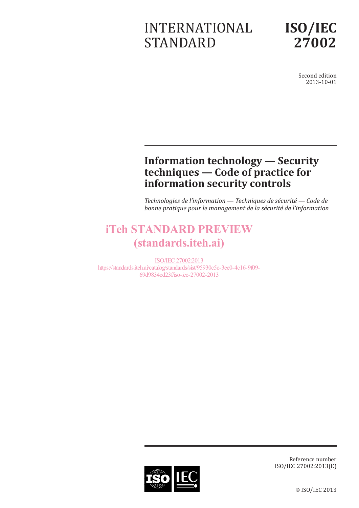# INTERNATIONAL STANDARD



Second edition 2013-10-01

# **Information technology — Security techniques — Code of practice for information security controls**

*Technologies de l'information — Techniques de sécurité — Code de bonne pratique pour le management de la sécurité de l'information*

# iTeh STANDARD PREVIEW (standards.iteh.ai)

ISO/IEC 27002:2013 https://standards.iteh.ai/catalog/standards/sist/95930c5c-3ee0-4c16-9f09- 69d9834cd23f/iso-iec-27002-2013



Reference number ISO/IEC 27002:2013(E)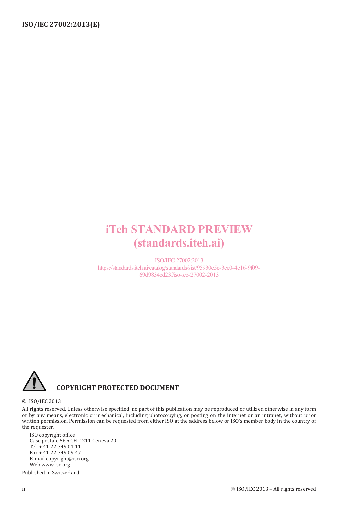# iTeh STANDARD PREVIEW (standards.iteh.ai)

ISO/IEC 27002:2013 https://standards.iteh.ai/catalog/standards/sist/95930c5c-3ee0-4c16-9f09- 69d9834cd23f/iso-iec-27002-2013



## © ISO/IEC 2013

All rights reserved. Unless otherwise specified, no part of this publication may be reproduced or utilized otherwise in any form or by any means, electronic or mechanical, including photocopying, or posting on the internet or an intranet, without prior written permission. Permission can be requested from either ISO at the address below or ISO's member body in the country of the requester.

ISO copyright office Case postale 56 • CH-1211 Geneva 20 Tel. + 41 22 749 01 11 Fax + 41 22 749 09 47 E-mail copyright@iso.org Web www.iso.org

Published in Switzerland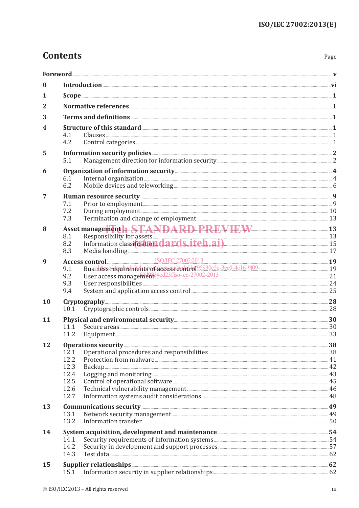# **Contents**

| $\bf{0}$  |                                                                                                                                                                              |                                                                                                                                                                              |  |  |
|-----------|------------------------------------------------------------------------------------------------------------------------------------------------------------------------------|------------------------------------------------------------------------------------------------------------------------------------------------------------------------------|--|--|
| 1         |                                                                                                                                                                              |                                                                                                                                                                              |  |  |
| 2         |                                                                                                                                                                              |                                                                                                                                                                              |  |  |
| 3         |                                                                                                                                                                              |                                                                                                                                                                              |  |  |
| 4         | Structure of this standard <b>Exercise Active 2018</b> 1                                                                                                                     |                                                                                                                                                                              |  |  |
|           | 4.1                                                                                                                                                                          |                                                                                                                                                                              |  |  |
|           | 4.2                                                                                                                                                                          |                                                                                                                                                                              |  |  |
| 5         | 5.1                                                                                                                                                                          |                                                                                                                                                                              |  |  |
| 6         |                                                                                                                                                                              | Organization of information security <b>Executive Security</b> 1 4                                                                                                           |  |  |
|           | 6.1                                                                                                                                                                          |                                                                                                                                                                              |  |  |
|           | 6.2                                                                                                                                                                          |                                                                                                                                                                              |  |  |
| 7         |                                                                                                                                                                              |                                                                                                                                                                              |  |  |
|           | 7.1<br>7.2                                                                                                                                                                   |                                                                                                                                                                              |  |  |
|           | 7.3                                                                                                                                                                          |                                                                                                                                                                              |  |  |
| 8         |                                                                                                                                                                              | Asset management <b>heater ANDARD PREVIEW</b><br>8.1 Responsibility for assets 13<br>8.2 Information classification dards.itch.ai) 15                                        |  |  |
|           |                                                                                                                                                                              |                                                                                                                                                                              |  |  |
|           | 8.3                                                                                                                                                                          |                                                                                                                                                                              |  |  |
| 9         |                                                                                                                                                                              |                                                                                                                                                                              |  |  |
|           |                                                                                                                                                                              | 19<br>19 Marchi Business : et access managements of decessed of triging 2002-2013<br>19 Marchi Business : et access managements decessed in the 27002-2013<br>21 Marchi 2013 |  |  |
|           |                                                                                                                                                                              |                                                                                                                                                                              |  |  |
|           | 9.3<br>9.4                                                                                                                                                                   | System and application access control <b>System</b> and application access control <b>System</b> and application access control                                              |  |  |
| <b>10</b> |                                                                                                                                                                              |                                                                                                                                                                              |  |  |
|           | 10.1                                                                                                                                                                         |                                                                                                                                                                              |  |  |
| 11        | Physical and environmental security <b>Exercise Act and Exercise 20</b>                                                                                                      |                                                                                                                                                                              |  |  |
|           | 11.1                                                                                                                                                                         |                                                                                                                                                                              |  |  |
|           | 11.2                                                                                                                                                                         |                                                                                                                                                                              |  |  |
| 12        |                                                                                                                                                                              |                                                                                                                                                                              |  |  |
|           | 12.1<br>12.2                                                                                                                                                                 |                                                                                                                                                                              |  |  |
|           | 12.3                                                                                                                                                                         |                                                                                                                                                                              |  |  |
|           | 12.4                                                                                                                                                                         |                                                                                                                                                                              |  |  |
|           | 12.5<br>12.6                                                                                                                                                                 |                                                                                                                                                                              |  |  |
|           | 12.7                                                                                                                                                                         |                                                                                                                                                                              |  |  |
| 13        | Communications security <b>29</b>                                                                                                                                            |                                                                                                                                                                              |  |  |
|           | 13.1                                                                                                                                                                         |                                                                                                                                                                              |  |  |
|           | 13.2                                                                                                                                                                         |                                                                                                                                                                              |  |  |
| 14        | System acquisition, development and maintenance <b>manufacture of the COV</b> 54<br>Security requirements of information systems <b>ELECTER SECURITY SECURITY</b> 54<br>14.1 |                                                                                                                                                                              |  |  |
|           | 14.2                                                                                                                                                                         |                                                                                                                                                                              |  |  |
|           | 14.3                                                                                                                                                                         |                                                                                                                                                                              |  |  |
| 15        |                                                                                                                                                                              |                                                                                                                                                                              |  |  |
|           | 15.1                                                                                                                                                                         |                                                                                                                                                                              |  |  |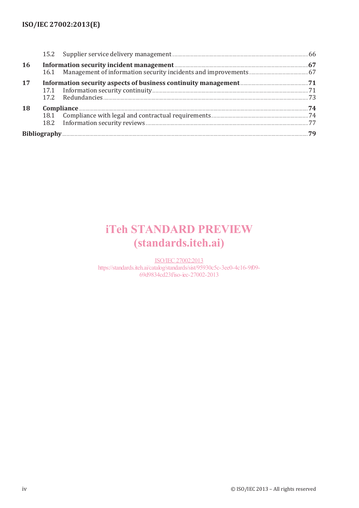# ISO/IEC 27002:2013(E)

|    | 15.2 Supplier service delivery management <b>Construction Construction</b> 66                                                                                                                                                                                                                                              |    |
|----|----------------------------------------------------------------------------------------------------------------------------------------------------------------------------------------------------------------------------------------------------------------------------------------------------------------------------|----|
| 16 | Information security incident management 2000 100 million 0.000 0.000 million 0.000 0.000 million 0.000 0.000 million 0.000 0.000 million 0.000 0.000 million 0.000 million 0.000 million 0.000 million 0.000 million 0.000 mi<br>16.1 Management of information security incidents and improvements <b>Managements</b> 67 |    |
| 17 | 17.1 Information security continuity <b>Execution</b> 21                                                                                                                                                                                                                                                                   |    |
| 18 |                                                                                                                                                                                                                                                                                                                            | 74 |
|    |                                                                                                                                                                                                                                                                                                                            |    |

# **iTeh STANDARD PREVIEW** (standards.iteh.ai)

**ISO/IEC 27002:2013** 

https://standards.iteh.ai/catalog/standards/sist/95930c5c-3ee0-4c16-9f09-69d9834cd23f/iso-iec-27002-2013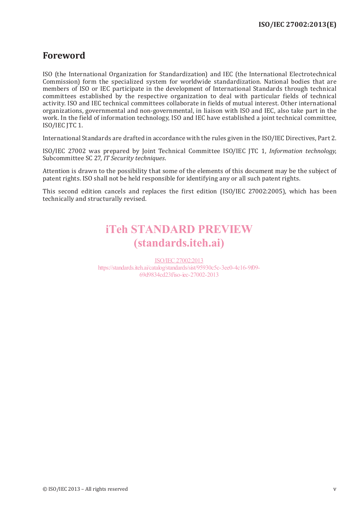# **Foreword**

ISO (the International Organization for Standardization) and IEC (the International Electrotechnical Commission) form the specialized system for worldwide standardization. National bodies that are members of ISO or IEC participate in the development of International Standards through technical committees established by the respective organization to deal with particular fields of technical activity. ISO and IEC technical committees collaborate in fields of mutual interest. Other international organizations, governmental and non-governmental, in liaison with ISO and IEC, also take part in the work. In the field of information technology, ISO and IEC have established a joint technical committee, ISO/IEC JTC 1.

International Standards are drafted in accordance with the rules given in the ISO/IEC Directives, Part 2.

ISO/IEC 27002 was prepared by Joint Technical Committee ISO/IEC JTC 1, *Information technology*, Subcommittee SC 27, *IT Security techniques*.

Attention is drawn to the possibility that some of the elements of this document may be the subject of patent rights. ISO shall not be held responsible for identifying any or all such patent rights.

This second edition cancels and replaces the first edition (ISO/IEC 27002:2005), which has been technically and structurally revised.

# iTeh STANDARD PREVIEW (standards.iteh.ai)

ISO/IEC 27002:2013 https://standards.iteh.ai/catalog/standards/sist/95930c5c-3ee0-4c16-9f09- 69d9834cd23f/iso-iec-27002-2013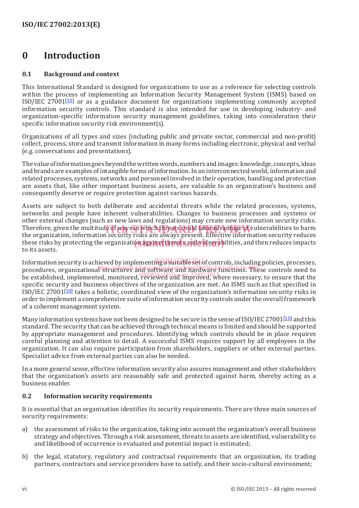# **0 Introduction**

# **0.1 Background and context**

This International Standard is designed for organizations to use as a reference for selecting controls within the process of implementing an Information Security Management System (ISMS) based on ISO/IEC 27001 $[10]$  or as a guidance document for organizations implementing commonly accepted information security controls. This standard is also intended for use in developing industry- and organization-specific information security management guidelines, taking into consideration their specific information security risk environment(s).

Organizations of all types and sizes (including public and private sector, commercial and non-profit) collect, process, store and transmit information in many forms including electronic, physical and verbal (e.g. conversations and presentations).

The value of information goes beyond the written words, numbers and images: knowledge, concepts, ideas and brands are examples of intangible forms of information. In an interconnected world, information and related processes, systems, networks and personnel involved in their operation, handling and protection are assets that, like other important business assets, are valuable to an organization's business and consequently deserve or require protection against various hazards.

Assets are subject to both deliberate and accidental threats while the related processes, systems, networks and people have inherent vulnerabilities. Changes to business processes and systems or other external changes (such as new laws and regulations) may create new information security risks. Therefore, given the multitude of ways in which threats could take advantage of vulnerabilities to harm<br>the organization, information security risks are always present. Effective information security reduces the organization, information security risks are always present. Effective information security reduces these risks by protecting the organization against threats and vulnerabilities, and then reduces impacts to ite assets. to its assets.

Information security is achieved by implementi<mark>ng a suitable set o</mark>f controls, including policies, processes, procedures, organizational structures and software and hardware functions. These controls need to be established, implemented, monitored, reviewed and improved, where necessary, to ensure that the specific security and business objectives of the organization are met. An ISMS such as that specified in ISO/IEC 27001[10] takes a holistic, coordinated view of the organization's information security risks in order to implement a comprehensive suite of information security controls under the overall framework of a coherent management system.

Many information systems have not been designed to be secure in the sense of ISO/IEC 27001[10] and this standard. The security that can be achieved through technical means is limited and should be supported by appropriate management and procedures. Identifying which controls should be in place requires careful planning and attention to detail. A successful ISMS requires support by all employees in the organization. It can also require participation from shareholders, suppliers or other external parties. Specialist advice from external parties can also be needed.

In a more general sense, effective information security also assures management and other stakeholders that the organization's assets are reasonably safe and protected against harm, thereby acting as a business enabler.

## **0.2 Information security requirements**

It is essential that an organization identifies its security requirements. There are three main sources of security requirements:

- a) the assessment of risks to the organization, taking into account the organization's overall business strategy and objectives. Through a risk assessment, threats to assets are identified, vulnerability to and likelihood of occurrence is evaluated and potential impact is estimated;
- b) the legal, statutory, regulatory and contractual requirements that an organization, its trading partners, contractors and service providers have to satisfy, and their socio-cultural environment;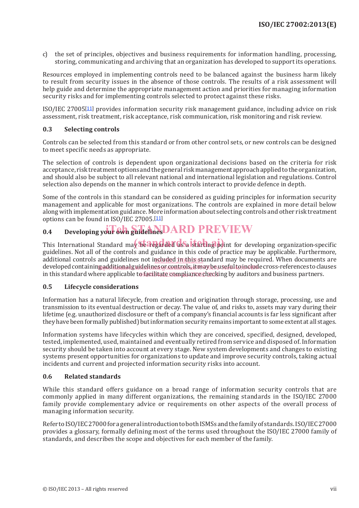c) the set of principles, objectives and business requirements for information handling, processing, storing, communicating and archiving that an organization has developed to support its operations.

Resources employed in implementing controls need to be balanced against the business harm likely to result from security issues in the absence of those controls. The results of a risk assessment will help guide and determine the appropriate management action and priorities for managing information security risks and for implementing controls selected to protect against these risks.

ISO/IEC 27005[11] provides information security risk management guidance, including advice on risk assessment, risk treatment, risk acceptance, risk communication, risk monitoring and risk review.

## **0.3 Selecting controls**

Controls can be selected from this standard or from other control sets, or new controls can be designed to meet specific needs as appropriate.

The selection of controls is dependent upon organizational decisions based on the criteria for risk acceptance, risk treatment options and the general risk management approach applied to the organization, and should also be subject to all relevant national and international legislation and regulations. Control selection also depends on the manner in which controls interact to provide defence in depth.

Some of the controls in this standard can be considered as guiding principles for information security management and applicable for most organizations. The controls are explained in more detail below along with implementation guidance. More information about selecting controls and other risk treatment options can be found in ISO/IEC 27005.[11]

# 0.4 Developing your own guidelines DARD PREVIEW

This International Standard may be regarded as a starting point for developing organization-specific guidelines. Not all of the controls and guidance in this code of practice may be applicable. Furthermore, additional controls and guidelines not included in this standard may be required. When documents are developed containing additional guidelines or controls, it may be useful to include cross-references to clauses in this standard where applicable to facilitate compliance checking by auditors and business partners.

## **0.5 Lifecycle considerations**

Information has a natural lifecycle, from creation and origination through storage, processing, use and transmission to its eventual destruction or decay. The value of, and risks to, assets may vary during their lifetime (e.g. unauthorized disclosure or theft of a company's financial accounts is far less significant after they have been formally published) but information security remains important to some extent at all stages.

Information systems have lifecycles within which they are conceived, specified, designed, developed, tested, implemented, used, maintained and eventually retired from service and disposed of. Information security should be taken into account at every stage. New system developments and changes to existing systems present opportunities for organizations to update and improve security controls, taking actual incidents and current and projected information security risks into account.

## **0.6 Related standards**

While this standard offers guidance on a broad range of information security controls that are commonly applied in many different organizations, the remaining standards in the ISO/IEC 27000 family provide complementary advice or requirements on other aspects of the overall process of managing information security.

Refer to ISO/IEC27000 for a general introduction to both ISMSs and the family of standards. ISO/IEC27000 provides a glossary, formally defining most of the terms used throughout the ISO/IEC 27000 family of standards, and describes the scope and objectives for each member of the family.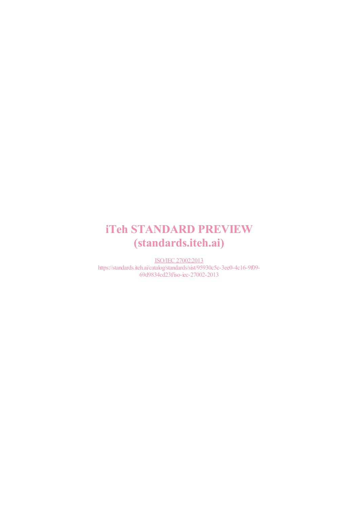# iTeh STANDARD PREVIEW (standards.iteh.ai)

ISO/IEC 27002:2013 https://standards.iteh.ai/catalog/standards/sist/95930c5c-3ee0-4c16-9f09- 69d9834cd23f/iso-iec-27002-2013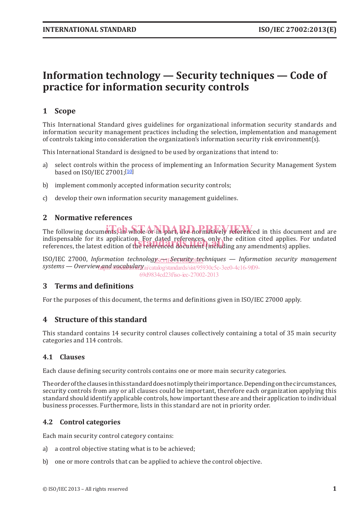# **Information technology — Security techniques — Code of practice for information security controls**

# **1 Scope**

This International Standard gives guidelines for organizational information security standards and information security management practices including the selection, implementation and management of controls taking into consideration the organization's information security risk environment(s).

This International Standard is designed to be used by organizations that intend to:

- a) select controls within the process of implementing an Information Security Management System based on ISO/IEC 27001;[10]
- b) implement commonly accepted information security controls;
- c) develop their own information security management guidelines.

# **2 Normative references**

The following documents, the whole or in part, are normatively referenced in this document and are indispensable for its application. For dated references, only the edition cited applies. For undated indispensable for its application. For dated references, only the edition cited applies. For<br>references, the latest edition of the referenced document (including any amendments) applies.

ISO/IEC 27000, Information technology<sub>SO/IE</sub>Security techniques — Information security management *systems — Overview and vocabulary* https://standards.iteh.ai/catalog/standards/sist/95930c5c-3ee0-4c16-9f09- 69d9834cd23f/iso-iec-27002-2013

# **3 Terms and definitions**

For the purposes of this document, the terms and definitions given in ISO/IEC 27000 apply.

# **4 Structure of this standard**

This standard contains 14 security control clauses collectively containing a total of 35 main security categories and 114 controls.

# **4.1 Clauses**

Each clause defining security controls contains one or more main security categories.

The order of the clauses in this standard does not imply their importance. Depending on the circumstances, security controls from any or all clauses could be important, therefore each organization applying this standard should identify applicable controls, how important these are and their application to individual business processes. Furthermore, lists in this standard are not in priority order.

# **4.2 Control categories**

Each main security control category contains:

- a) a control objective stating what is to be achieved;
- b) one or more controls that can be applied to achieve the control objective.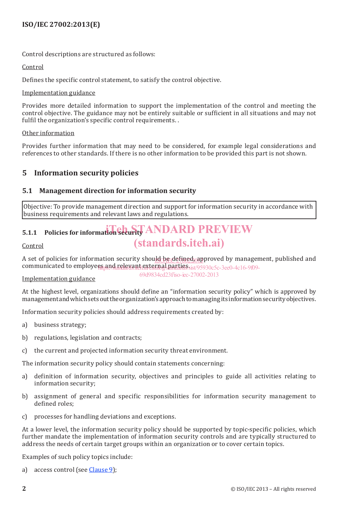# **ISO/IEC 27002:2013(E)**

Control descriptions are structured as follows:

# Control

Defines the specific control statement, to satisfy the control objective.

## Implementation guidance

Provides more detailed information to support the implementation of the control and meeting the control objective. The guidance may not be entirely suitable or sufficient in all situations and may not fulfil the organization's specific control requirements. .

## Other information

Provides further information that may need to be considered, for example legal considerations and references to other standards. If there is no other information to be provided this part is not shown.

# **5 Information security policies**

# **5.1 Management direction for information security**

Objective: To provide management direction and support for information security in accordance with business requirements and relevant laws and regulations.

# **5.1.1** Policies for information Security ANDARD PREVIEW (standards.iteh.ai)

Control

A set of policies for information security shou<u>ld be defined <sub>(</sub>ap</u>proved by management, published and communicated to employees and relevant external parties sist/95930c5c-3ee0-4c16-9f09-

## Implementation guidance

69d9834cd23f/iso-iec-27002-2013

At the highest level, organizations should define an "information security policy" which is approved by management and which sets out the organization's approach to managing its information security objectives.

Information security policies should address requirements created by:

- a) business strategy;
- b) regulations, legislation and contracts;
- c) the current and projected information security threat environment.

The information security policy should contain statements concerning:

- a) definition of information security, objectives and principles to guide all activities relating to information security;
- b) assignment of general and specific responsibilities for information security management to defined roles;
- c) processes for handling deviations and exceptions.

At a lower level, the information security policy should be supported by topic-specific policies, which further mandate the implementation of information security controls and are typically structured to address the needs of certain target groups within an organization or to cover certain topics.

Examples of such policy topics include:

a) access control (see Clause 9);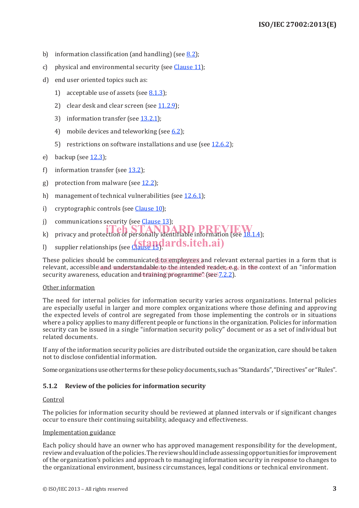- b) information classification (and handling) (see  $8.2$ );
- c) physical and environmental security (see Clause  $11$ );
- d) end user oriented topics such as:
	- 1) acceptable use of assets (see 8.1.3);
	- 2) clear desk and clear screen (see 11.2.9);
	- 3) information transfer (see 13.2.1);
	- 4) mobile devices and teleworking (see 6.2);
	- 5) restrictions on software installations and use (see 12.6.2);
- e) backup (see 12.3);
- f) information transfer (see 13.2);
- g) protection from malware (see 12.2);
- h) management of technical vulnerabilities (see 12.6.1);
- i) cryptographic controls (see Clause 10);
- i) communications security (see Clause 13):
- k) privacy and protection of personally identifiable information (see 18.1.4);
- I) supplier relationships (see Clause 15) ards.itch.ai)

These policies should be communicated to employees and relevant external parties in a form that is relevant, accessible and sunderstandable to sthe antended reader, e.g. in the context of an "information security awareness, education and training programme" (see <mark>7.2.2</mark>).

## Other information

The need for internal policies for information security varies across organizations. Internal policies are especially useful in larger and more complex organizations where those defining and approving the expected levels of control are segregated from those implementing the controls or in situations where a policy applies to many different people or functions in the organization. Policies for information security can be issued in a single "information security policy" document or as a set of individual but related documents.

If any of the information security policies are distributed outside the organization, care should be taken not to disclose confidential information.

Some organizations use other terms for these policy documents, such as "Standards", "Directives" or "Rules".

## **5.1.2 Review of the policies for information security**

#### Control

The policies for information security should be reviewed at planned intervals or if significant changes occur to ensure their continuing suitability, adequacy and effectiveness.

## Implementation guidance

Each policy should have an owner who has approved management responsibility for the development, review and evaluation of the policies. The review should include assessing opportunities for improvement of the organization's policies and approach to managing information security in response to changes to the organizational environment, business circumstances, legal conditions or technical environment.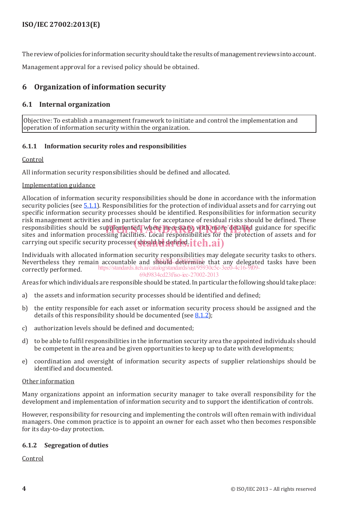The review of policies for information security should take the results of management reviews into account.

Management approval for a revised policy should be obtained.

# **6 Organization of information security**

# **6.1 Internal organization**

Objective: To establish a management framework to initiate and control the implementation and operation of information security within the organization.

# **6.1.1 Information security roles and responsibilities**

# Control

All information security responsibilities should be defined and allocated.

# Implementation guidance

Allocation of information security responsibilities should be done in accordance with the information security policies (see  $\frac{5.1.1}{2}$ ). Responsibilities for the protection of individual assets and for carrying out specific information security processes should be identified. Responsibilities for information security risk management activities and in particular for acceptance of residual risks should be defined. These responsibilities should be supplemented, where necessary, with more detailed guidance for specific<br>sites and information processing facilities. Local responsibilities for the protection of assets and for sites and information processing facilities. Local responsibilities for the protection of assets and for carrying out specific security processes should be defined. iteh.ai)

Individuals with allocated information security responsibilities may delegate security tasks to others. Nevertheless they remain accountable and should determine that any delegated tasks have been correctly performed. https://standards.iteh.ai/catalog/standards/sist/95930c5c-3ee0-4c16-9 69d9834cd23f/iso-iec-27002-2013

Areas for which individuals are responsible should be stated. In particular the following should take place:

- a) the assets and information security processes should be identified and defined;
- b) the entity responsible for each asset or information security process should be assigned and the details of this responsibility should be documented (see  $8.1.2$ );
- c) authorization levels should be defined and documented;
- d) to be able to fulfil responsibilities in the information security area the appointed individuals should be competent in the area and be given opportunities to keep up to date with developments;
- e) coordination and oversight of information security aspects of supplier relationships should be identified and documented.

# Other information

Many organizations appoint an information security manager to take overall responsibility for the development and implementation of information security and to support the identification of controls.

However, responsibility for resourcing and implementing the controls will often remain with individual managers. One common practice is to appoint an owner for each asset who then becomes responsible for its day-to-day protection.

# **6.1.2 Segregation of duties**

**Control**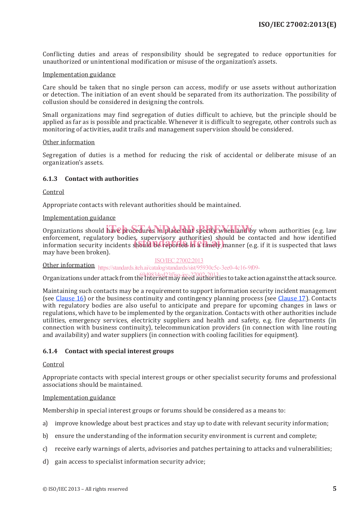Conflicting duties and areas of responsibility should be segregated to reduce opportunities for unauthorized or unintentional modification or misuse of the organization's assets.

#### Implementation guidance

Care should be taken that no single person can access, modify or use assets without authorization or detection. The initiation of an event should be separated from its authorization. The possibility of collusion should be considered in designing the controls.

Small organizations may find segregation of duties difficult to achieve, but the principle should be applied as far as is possible and practicable. Whenever it is difficult to segregate, other controls such as monitoring of activities, audit trails and management supervision should be considered.

#### Other information

Segregation of duties is a method for reducing the risk of accidental or deliberate misuse of an organization's assets.

## **6.1.3 Contact with authorities**

## Control

Appropriate contacts with relevant authorities should be maintained.

#### Implementation guidance

Organizations should have procedures in place that specify when and by whom authorities (e.g. law enforcement, regulatory bodies, supervisory authorities) should be contacted and how identified enforcement, regulatory bodies, supervisory authorities) should be contacted and how identified<br>information security incidents should be reported in a timely manner (e.g. if it is suspected that laws may have been broken).

#### ISO/IEC 27002:2013

**Other information** https://standards.iteh.ai/catalog/standards/sist/95930c5c-3ee0-4c16-9f09-

Organizations under attack from the Internet may need authorities to take action against the attack source.

Maintaining such contacts may be a requirement to support information security incident management (see Clause 16) or the business continuity and contingency planning process (see Clause 17). Contacts with regulatory bodies are also useful to anticipate and prepare for upcoming changes in laws or regulations, which have to be implemented by the organization. Contacts with other authorities include utilities, emergency services, electricity suppliers and health and safety, e.g. fire departments (in connection with business continuity), telecommunication providers (in connection with line routing and availability) and water suppliers (in connection with cooling facilities for equipment).

## **6.1.4 Contact with special interest groups**

#### Control

Appropriate contacts with special interest groups or other specialist security forums and professional associations should be maintained.

#### Implementation guidance

Membership in special interest groups or forums should be considered as a means to:

- a) improve knowledge about best practices and stay up to date with relevant security information;
- b) ensure the understanding of the information security environment is current and complete;
- c) receive early warnings of alerts, advisories and patches pertaining to attacks and vulnerabilities;
- d) gain access to specialist information security advice;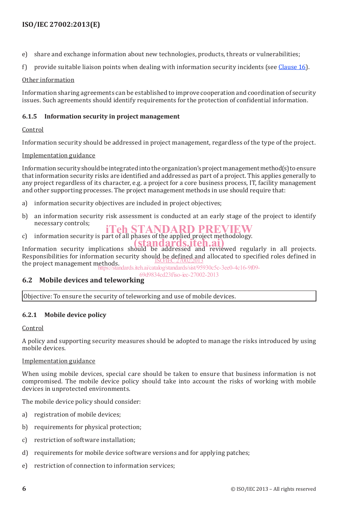- e) share and exchange information about new technologies, products, threats or vulnerabilities;
- f) provide suitable liaison points when dealing with information security incidents (see Clause 16).

# Other information

Information sharing agreements can be established to improve cooperation and coordination of security issues. Such agreements should identify requirements for the protection of confidential information.

## **6.1.5 Information security in project management**

## Control

Information security should be addressed in project management, regardless of the type of the project.

## Implementation guidance

Information security should be integrated into the organization's project management method(s) to ensure that information security risks are identified and addressed as part of a project. This applies generally to any project regardless of its character, e.g. a project for a core business process, IT, facility management and other supporting processes. The project management methods in use should require that:

- a) information security objectives are included in project objectives;
- b) an information security risk assessment is conducted at an early stage of the project to identify necessary controls;
- c) information security is part of all phases of the applied project methodology. iTeh STANDARD PREVIEW
	-

Information security is part of an phases of the applied project methodology.<br>
(**standards.iteh.ai**)<br>
Information security implications should be addressed and reviewed regularly in all projects. Responsibilities for information security should be defined and allocated to specified roles defined in<br>the project management methods the project management methods.

https://standards/sist/95930c5c-3ee0-4c16-9f09-

69d9834cd23f/iso-iec-27002-2013

# **6.2 Mobile devices and teleworking**

Objective: To ensure the security of teleworking and use of mobile devices.

# **6.2.1 Mobile device policy**

# Control

A policy and supporting security measures should be adopted to manage the risks introduced by using mobile devices.

# Implementation guidance

When using mobile devices, special care should be taken to ensure that business information is not compromised. The mobile device policy should take into account the risks of working with mobile devices in unprotected environments.

The mobile device policy should consider:

- a) registration of mobile devices;
- b) requirements for physical protection;
- c) restriction of software installation;
- d) requirements for mobile device software versions and for applying patches;
- e) restriction of connection to information services;